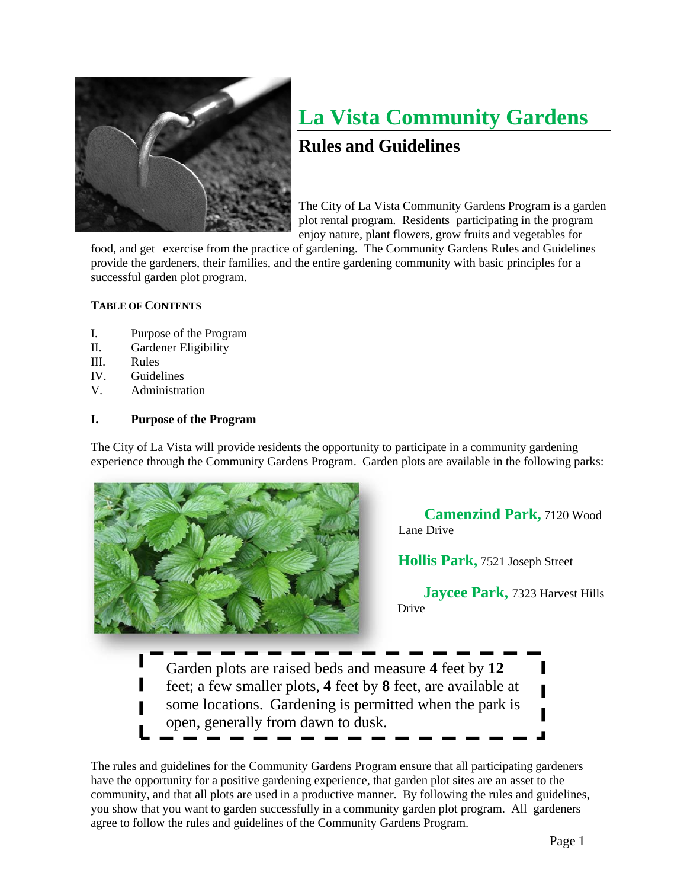

# **La Vista Community Gardens Rules and Guidelines**

The City of La Vista Community Gardens Program is a garden plot rental program. Residents participating in the program enjoy nature, plant flowers, grow fruits and vegetables for

food, and get exercise from the practice of gardening. The Community Gardens Rules and Guidelines provide the gardeners, their families, and the entire gardening community with basic principles for a successful garden plot program.

# **TABLE OF CONTENTS**

- I. Purpose of the Program
- II. Gardener Eligibility
- III. Rules
- IV. Guidelines
- V. Administration

ı

# **I. Purpose of the Program**

The City of La Vista will provide residents the opportunity to participate in a community gardening experience through the Community Gardens Program. Garden plots are available in the following parks:



**Camenzind Park,** 7120 Wood Lane Drive

**Hollis Park,** 7521 Joseph Street

**Jaycee Park,** 7323 Harvest Hills Drive

Garden plots are raised beds and measure **4** feet by **12** feet; a few smaller plots, **4** feet by **8** feet, are available at some locations. Gardening is permitted when the park is open, generally from dawn to dusk.

The rules and guidelines for the Community Gardens Program ensure that all participating gardeners have the opportunity for a positive gardening experience, that garden plot sites are an asset to the community, and that all plots are used in a productive manner. By following the rules and guidelines, you show that you want to garden successfully in a community garden plot program. All gardeners agree to follow the rules and guidelines of the Community Gardens Program.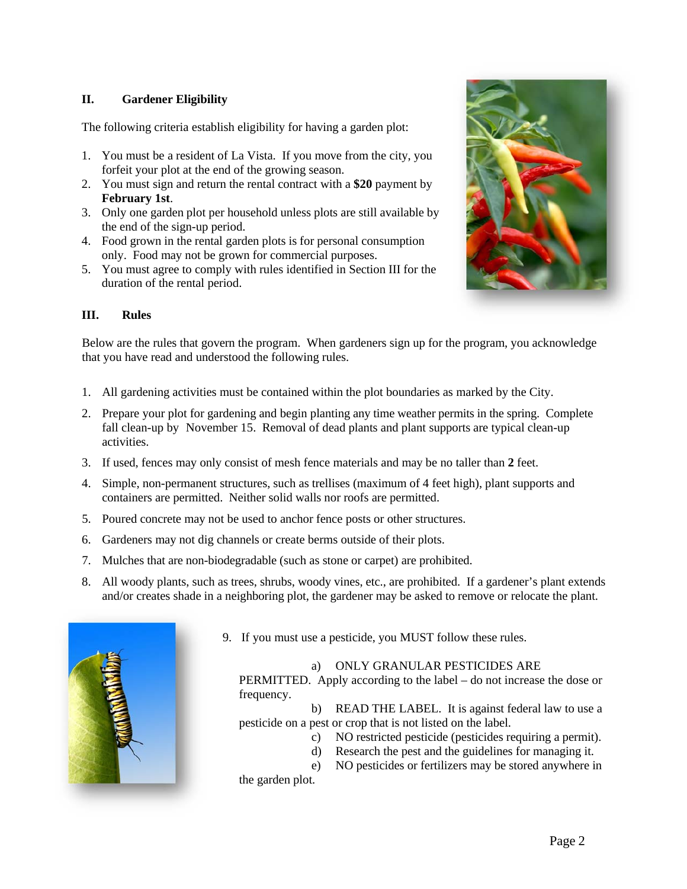# **II. Gardener Eligibility**

The following criteria establish eligibility for having a garden plot:

- 1. You must be a resident of La Vista. If you move from the city, you forfeit your plot at the end of the growing season.
- 2. You must sign and return the rental contract with a **\$20** payment by **February 1st**.
- 3. Only one garden plot per household unless plots are still available by the end of the sign-up period.
- 4. Food grown in the rental garden plots is for personal consumption only. Food may not be grown for commercial purposes.
- 5. You must agree to comply with rules identified in Section III for the duration of the rental period.



# **III. Rules**

Below are the rules that govern the program. When gardeners sign up for the program, you acknowledge that you have read and understood the following rules.

- 1. All gardening activities must be contained within the plot boundaries as marked by the City.
- 2. Prepare your plot for gardening and begin planting any time weather permits in the spring. Complete fall clean-up by November 15. Removal of dead plants and plant supports are typical clean-up activities.
- 3. If used, fences may only consist of mesh fence materials and may be no taller than **2** feet.
- 4. Simple, non-permanent structures, such as trellises (maximum of 4 feet high), plant supports and containers are permitted. Neither solid walls nor roofs are permitted.
- 5. Poured concrete may not be used to anchor fence posts or other structures.
- 6. Gardeners may not dig channels or create berms outside of their plots.
- 7. Mulches that are non-biodegradable (such as stone or carpet) are prohibited.
- 8. All woody plants, such as trees, shrubs, woody vines, etc., are prohibited. If a gardener's plant extends and/or creates shade in a neighboring plot, the gardener may be asked to remove or relocate the plant.



9. If you must use a pesticide, you MUST follow these rules.

### a) ONLY GRANULAR PESTICIDES ARE

PERMITTED. Apply according to the label – do not increase the dose or frequency.

b) READ THE LABEL. It is against federal law to use a pesticide on a pest or crop that is not listed on the label.

- c) NO restricted pesticide (pesticides requiring a permit).
- d) Research the pest and the guidelines for managing it.

e) NO pesticides or fertilizers may be stored anywhere in

the garden plot.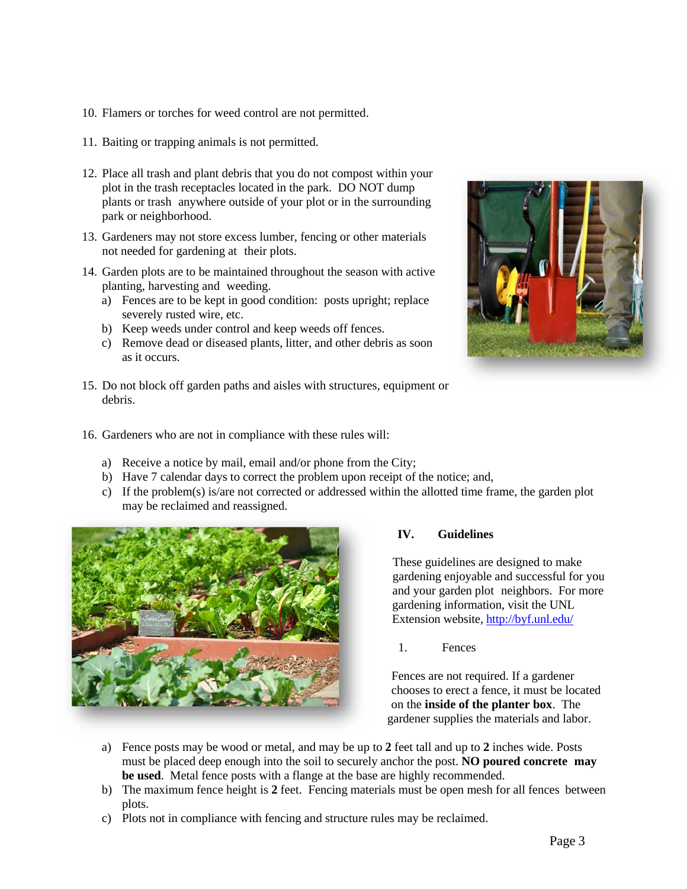- 10. Flamers or torches for weed control are not permitted.
- 11. Baiting or trapping animals is not permitted.
- 12. Place all trash and plant debris that you do not compost within your plot in the trash receptacles located in the park. DO NOT dump plants or trash anywhere outside of your plot or in the surrounding park or neighborhood.
- 13. Gardeners may not store excess lumber, fencing or other materials not needed for gardening at their plots.
- 14. Garden plots are to be maintained throughout the season with active planting, harvesting and weeding.
	- a) Fences are to be kept in good condition: posts upright; replace severely rusted wire, etc.
	- b) Keep weeds under control and keep weeds off fences.
	- c) Remove dead or diseased plants, litter, and other debris as soon as it occurs.
- 15. Do not block off garden paths and aisles with structures, equipment or debris.



- 16. Gardeners who are not in compliance with these rules will:
	- a) Receive a notice by mail, email and/or phone from the City;
	- b) Have 7 calendar days to correct the problem upon receipt of the notice; and,
	- c) If the problem(s) is/are not corrected or addressed within the allotted time frame, the garden plot may be reclaimed and reassigned.



# **IV. Guidelines**

These guidelines are designed to make gardening enjoyable and successful for you and your garden plot neighbors. For more gardening information, visit the UNL Extension website, http://byf.unl.edu/

1. Fences

Fences are not required. If a gardener chooses to erect a fence, it must be located on the **inside of the planter box**. The gardener supplies the materials and labor.

- a) Fence posts may be wood or metal, and may be up to **2** feet tall and up to **2** inches wide. Posts must be placed deep enough into the soil to securely anchor the post. **NO poured concrete may be used**. Metal fence posts with a flange at the base are highly recommended.
- b) The maximum fence height is **2** feet. Fencing materials must be open mesh for all fences between plots.
- c) Plots not in compliance with fencing and structure rules may be reclaimed.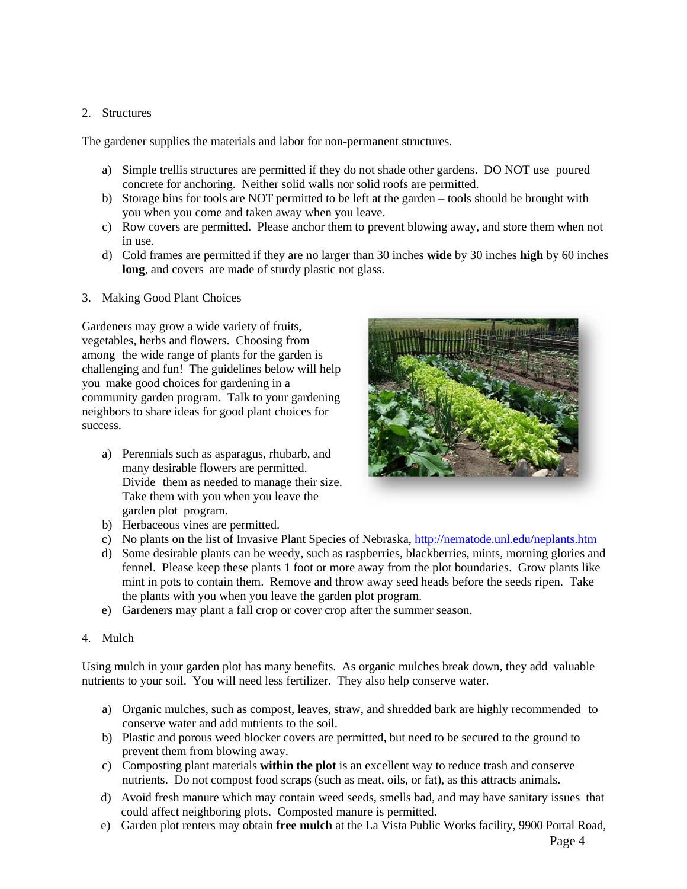## 2. Structures

The gardener supplies the materials and labor for non-permanent structures.

- a) Simple trellis structures are permitted if they do not shade other gardens. DO NOT use poured concrete for anchoring. Neither solid walls nor solid roofs are permitted.
- b) Storage bins for tools are NOT permitted to be left at the garden tools should be brought with you when you come and taken away when you leave.
- c) Row covers are permitted. Please anchor them to prevent blowing away, and store them when not in use.
- d) Cold frames are permitted if they are no larger than 30 inches **wide** by 30 inches **high** by 60 inches **long**, and covers are made of sturdy plastic not glass.

### 3. Making Good Plant Choices

Gardeners may grow a wide variety of fruits, vegetables, herbs and flowers. Choosing from among the wide range of plants for the garden is challenging and fun! The guidelines below will help you make good choices for gardening in a community garden program. Talk to your gardening neighbors to share ideas for good plant choices for success.

a) Perennials such as asparagus, rhubarb, and many desirable flowers are permitted. Divide them as needed to manage their size. Take them with you when you leave the garden plot program.



- b) Herbaceous vines are permitted.
- c) No plants on the list of Invasive Plant Species of Nebraska, http://nematode.unl.edu/neplants.htm
- d) Some desirable plants can be weedy, such as raspberries, blackberries, mints, morning glories and fennel. Please keep these plants 1 foot or more away from the plot boundaries. Grow plants like mint in pots to contain them. Remove and throw away seed heads before the seeds ripen. Take the plants with you when you leave the garden plot program.
- e) Gardeners may plant a fall crop or cover crop after the summer season.
- 4. Mulch

Using mulch in your garden plot has many benefits. As organic mulches break down, they add valuable nutrients to your soil. You will need less fertilizer. They also help conserve water.

- a) Organic mulches, such as compost, leaves, straw, and shredded bark are highly recommended to conserve water and add nutrients to the soil.
- b) Plastic and porous weed blocker covers are permitted, but need to be secured to the ground to prevent them from blowing away.
- c) Composting plant materials **within the plot** is an excellent way to reduce trash and conserve nutrients. Do not compost food scraps (such as meat, oils, or fat), as this attracts animals.
- d) Avoid fresh manure which may contain weed seeds, smells bad, and may have sanitary issues that could affect neighboring plots. Composted manure is permitted.
- e) Garden plot renters may obtain **free mulch** at the La Vista Public Works facility, 9900 Portal Road,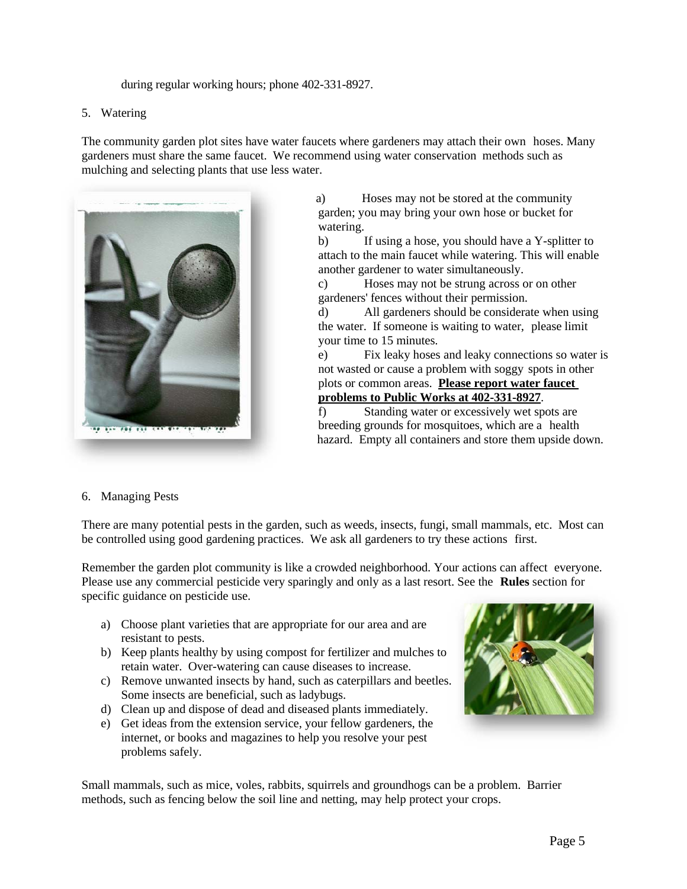during regular working hours; phone 402-331-8927.

#### 5. Watering

The community garden plot sites have water faucets where gardeners may attach their own hoses. Many gardeners must share the same faucet. We recommend using water conservation methods such as mulching and selecting plants that use less water.



a) Hoses may not be stored at the community garden; you may bring your own hose or bucket for watering.

b) If using a hose, you should have a Y-splitter to attach to the main faucet while watering. This will enable another gardener to water simultaneously.

c) Hoses may not be strung across or on other gardeners' fences without their permission.

d) All gardeners should be considerate when using the water. If someone is waiting to water, please limit your time to 15 minutes.

e) Fix leaky hoses and leaky connections so water is not wasted or cause a problem with soggy spots in other plots or common areas. **Please report water faucet problems to Public Works at 402-331-8927**.

f) Standing water or excessively wet spots are breeding grounds for mosquitoes, which are a health hazard. Empty all containers and store them upside down.

### 6. Managing Pests

There are many potential pests in the garden, such as weeds, insects, fungi, small mammals, etc. Most can be controlled using good gardening practices. We ask all gardeners to try these actions first.

Remember the garden plot community is like a crowded neighborhood. Your actions can affect everyone. Please use any commercial pesticide very sparingly and only as a last resort. See the **Rules** section for specific guidance on pesticide use.

- a) Choose plant varieties that are appropriate for our area and are resistant to pests.
- b) Keep plants healthy by using compost for fertilizer and mulches to retain water. Over-watering can cause diseases to increase.
- c) Remove unwanted insects by hand, such as caterpillars and beetles. Some insects are beneficial, such as ladybugs.
- d) Clean up and dispose of dead and diseased plants immediately.
- e) Get ideas from the extension service, your fellow gardeners, the internet, or books and magazines to help you resolve your pest problems safely.



Small mammals, such as mice, voles, rabbits, squirrels and groundhogs can be a problem. Barrier methods, such as fencing below the soil line and netting, may help protect your crops.